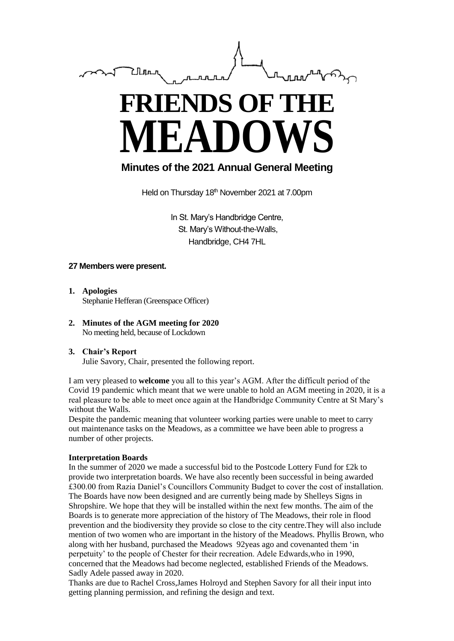

# **FRIENDS OF THE MEADOWS**

# **Minutes of the 2021 Annual General Meeting**

Held on Thursday 18<sup>th</sup> November 2021 at 7.00pm

In St. Mary's Handbridge Centre, St. Mary's Without-the-Walls, Handbridge, CH4 7HL

## **27 Members were present.**

- **1. Apologies** Stephanie Hefferan (Greenspace Officer)
- **2. Minutes of the AGM meeting for 2020** No meeting held, because of Lockdown

#### **3. Chair's Report** Julie Savory, Chair, presented the following report.

I am very pleased to **welcome** you all to this year's AGM. After the difficult period of the Covid 19 pandemic which meant that we were unable to hold an AGM meeting in 2020, it is a real pleasure to be able to meet once again at the Handbridge Community Centre at St Mary's without the Walls.

Despite the pandemic meaning that volunteer working parties were unable to meet to carry out maintenance tasks on the Meadows, as a committee we have been able to progress a number of other projects.

## **Interpretation Boards**

In the summer of 2020 we made a successful bid to the Postcode Lottery Fund for £2k to provide two interpretation boards. We have also recently been successful in being awarded £300.00 from Razia Daniel's Councillors Community Budget to cover the cost of installation. The Boards have now been designed and are currently being made by Shelleys Signs in Shropshire. We hope that they will be installed within the next few months. The aim of the Boards is to generate more appreciation of the history of The Meadows, their role in flood prevention and the biodiversity they provide so close to the city centre.They will also include mention of two women who are important in the history of the Meadows. Phyllis Brown, who along with her husband, purchased the Meadows 92yeas ago and covenanted them 'in perpetuity' to the people of Chester for their recreation. Adele Edwards,who in 1990, concerned that the Meadows had become neglected, established Friends of the Meadows. Sadly Adele passed away in 2020.

Thanks are due to Rachel Cross,James Holroyd and Stephen Savory for all their input into getting planning permission, and refining the design and text.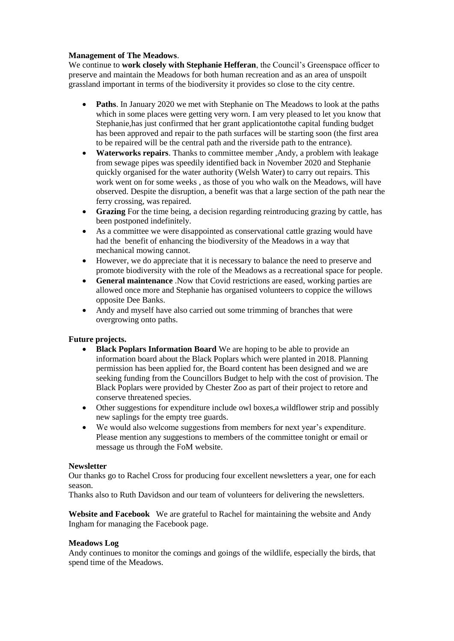#### **Management of The Meadows**.

We continue to **work closely with Stephanie Hefferan**, the Council's Greenspace officer to preserve and maintain the Meadows for both human recreation and as an area of unspoilt grassland important in terms of the biodiversity it provides so close to the city centre.

- **Paths**. In January 2020 we met with Stephanie on The Meadows to look at the paths which in some places were getting very worn. I am very pleased to let you know that Stephanie,has just confirmed that her grant applicationtothe capital funding budget has been approved and repair to the path surfaces will be starting soon (the first area to be repaired will be the central path and the riverside path to the entrance).
- **Waterworks repairs**. Thanks to committee member ,Andy, a problem with leakage from sewage pipes was speedily identified back in November 2020 and Stephanie quickly organised for the water authority (Welsh Water) to carry out repairs. This work went on for some weeks , as those of you who walk on the Meadows, will have observed. Despite the disruption, a benefit was that a large section of the path near the ferry crossing, was repaired.
- **Grazing** For the time being, a decision regarding reintroducing grazing by cattle, has been postponed indefinitely.
- As a committee we were disappointed as conservational cattle grazing would have had the benefit of enhancing the biodiversity of the Meadows in a way that mechanical mowing cannot.
- However, we do appreciate that it is necessary to balance the need to preserve and promote biodiversity with the role of the Meadows as a recreational space for people.
- **General maintenance** .Now that Covid restrictions are eased, working parties are allowed once more and Stephanie has organised volunteers to coppice the willows opposite Dee Banks.
- Andy and myself have also carried out some trimming of branches that were overgrowing onto paths.

## **Future projects.**

- **Black Poplars Information Board** We are hoping to be able to provide an information board about the Black Poplars which were planted in 2018. Planning permission has been applied for, the Board content has been designed and we are seeking funding from the Councillors Budget to help with the cost of provision. The Black Poplars were provided by Chester Zoo as part of their project to retore and conserve threatened species.
- Other suggestions for expenditure include owl boxes,a wildflower strip and possibly new saplings for the empty tree guards.
- We would also welcome suggestions from members for next year's expenditure. Please mention any suggestions to members of the committee tonight or email or message us through the FoM website.

#### **Newsletter**

Our thanks go to Rachel Cross for producing four excellent newsletters a year, one for each season.

Thanks also to Ruth Davidson and our team of volunteers for delivering the newsletters.

**Website and Facebook** We are grateful to Rachel for maintaining the website and Andy Ingham for managing the Facebook page.

#### **Meadows Log**

Andy continues to monitor the comings and goings of the wildlife, especially the birds, that spend time of the Meadows.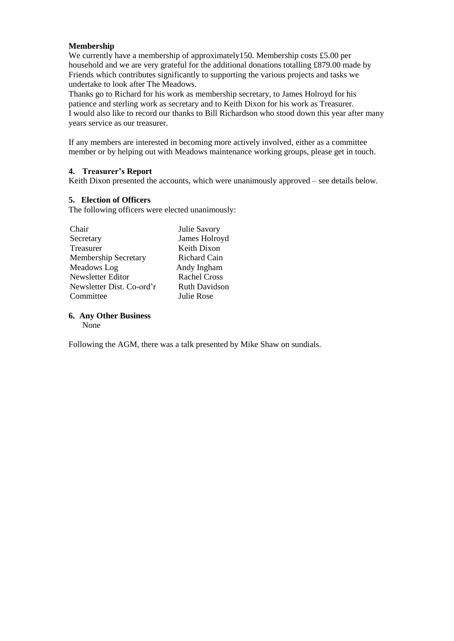#### **Membership**

We currently have a membership of approximately 150. Membership costs £5.00 per household and we are very grateful for the additional donations totalling £879.00 made by Friends which contributes significantly to supporting the various projects and tasks we undertake to look after The Meadows.

Thanks go to Richard for his work as membership secretary, to James Holroyd for his patience and sterling work as secretary and to Keith Dixon for his work as Treasurer. I would also like to record our thanks to Bill Richardson who stood down this year after many years service as our treasurer.

If any members are interested in becoming more actively involved, either as a committee member or by helping out with Meadows maintenance working groups, please get in touch.

#### **4. Treasurer's Report**

Keith Dixon presented the accounts, which were unanimously approved – see details below.

#### **5. Election of Officers**

The following officers were elected unanimously:

| Chair                       | Julie Savory         |  |
|-----------------------------|----------------------|--|
| Secretary                   | James Holroyd        |  |
| Treasurer                   | Keith Dixon          |  |
| <b>Membership Secretary</b> | Richard Cain         |  |
| Meadows Log                 | Andy Ingham          |  |
| Newsletter Editor           | <b>Rachel Cross</b>  |  |
| Newsletter Dist. Co-ord'r   | <b>Ruth Davidson</b> |  |
| Committee                   | Julie Rose           |  |
|                             |                      |  |

#### **6. Any Other Business**

None

Following the AGM, there was a talk presented by Mike Shaw on sundials.